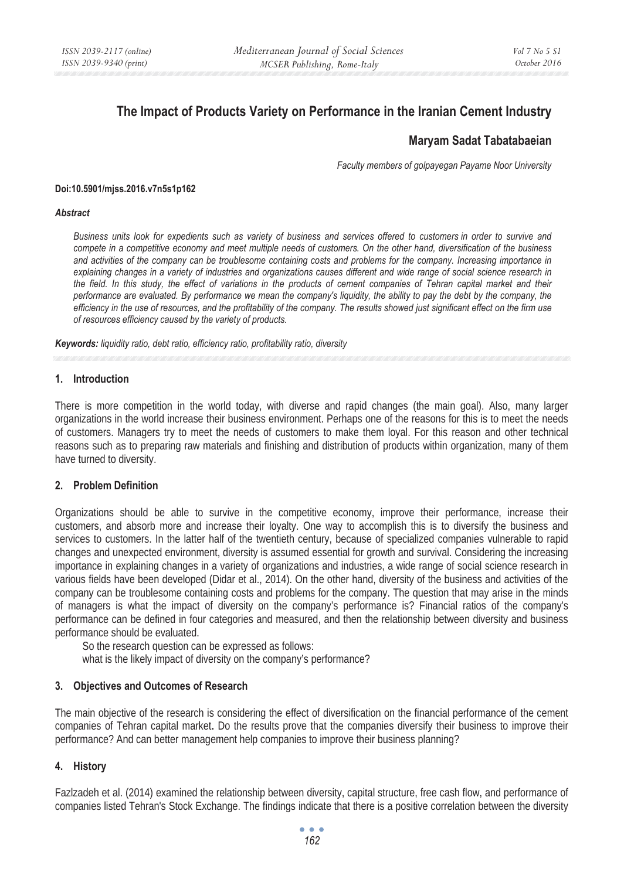# **The Impact of Products Variety on Performance in the Iranian Cement Industry**

# **Maryam Sadat Tabatabaeian**

*Faculty members of golpayegan Payame Noor University* 

#### **Doi:10.5901/mjss.2016.v7n5s1p162**

#### *Abstract*

*Business units look for expedients such as variety of business and services offered to customers in order to survive and compete in a competitive economy and meet multiple needs of customers. On the other hand, diversification of the business and activities of the company can be troublesome containing costs and problems for the company. Increasing importance in explaining changes in a variety of industries and organizations causes different and wide range of social science research in the field. In this study, the effect of variations in the products of cement companies of Tehran capital market and their performance are evaluated. By performance we mean the company's liquidity, the ability to pay the debt by the company, the efficiency in the use of resources, and the profitability of the company. The results showed just significant effect on the firm use of resources efficiency caused by the variety of products.* 

*Keywords: liquidity ratio, debt ratio, efficiency ratio, profitability ratio, diversity* 

#### **1. Introduction**

There is more competition in the world today, with diverse and rapid changes (the main goal). Also, many larger organizations in the world increase their business environment. Perhaps one of the reasons for this is to meet the needs of customers. Managers try to meet the needs of customers to make them loyal. For this reason and other technical reasons such as to preparing raw materials and finishing and distribution of products within organization, many of them have turned to diversity.

#### **2. Problem Definition**

Organizations should be able to survive in the competitive economy, improve their performance, increase their customers, and absorb more and increase their loyalty. One way to accomplish this is to diversify the business and services to customers. In the latter half of the twentieth century, because of specialized companies vulnerable to rapid changes and unexpected environment, diversity is assumed essential for growth and survival. Considering the increasing importance in explaining changes in a variety of organizations and industries, a wide range of social science research in various fields have been developed (Didar et al., 2014). On the other hand, diversity of the business and activities of the company can be troublesome containing costs and problems for the company. The question that may arise in the minds of managers is what the impact of diversity on the company's performance is? Financial ratios of the company's performance can be defined in four categories and measured, and then the relationship between diversity and business performance should be evaluated.

So the research question can be expressed as follows: what is the likely impact of diversity on the company's performance?

#### **3. Objectives and Outcomes of Research**

The main objective of the research is considering the effect of diversification on the financial performance of the cement companies of Tehran capital market**.** Do the results prove that the companies diversify their business to improve their performance? And can better management help companies to improve their business planning?

#### **4. History**

Fazlzadeh et al. (2014) examined the relationship between diversity, capital structure, free cash flow, and performance of companies listed Tehran's Stock Exchange. The findings indicate that there is a positive correlation between the diversity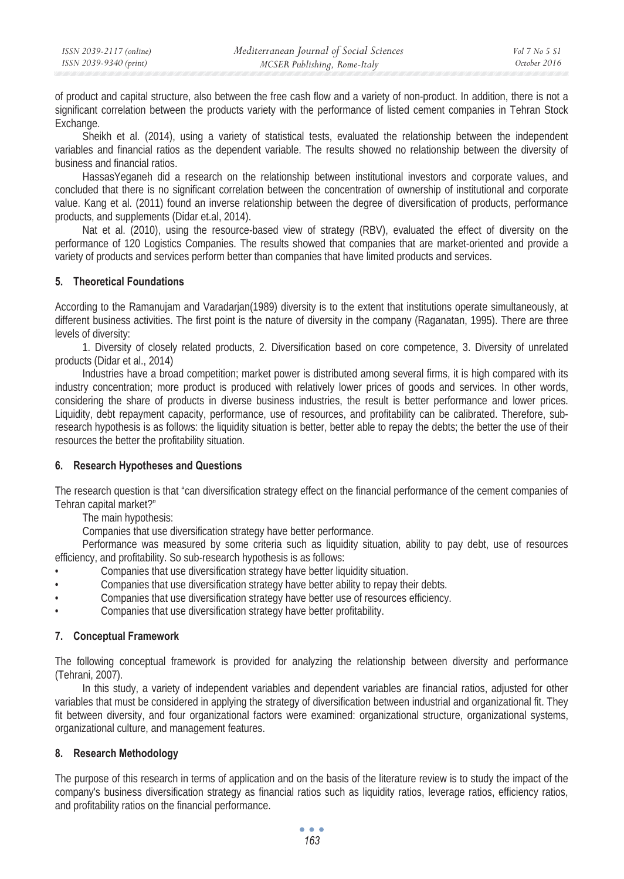of product and capital structure, also between the free cash flow and a variety of non-product. In addition, there is not a significant correlation between the products variety with the performance of listed cement companies in Tehran Stock Exchange.

Sheikh et al. (2014), using a variety of statistical tests, evaluated the relationship between the independent variables and financial ratios as the dependent variable. The results showed no relationship between the diversity of business and financial ratios.

HassasYeganeh did a research on the relationship between institutional investors and corporate values, and concluded that there is no significant correlation between the concentration of ownership of institutional and corporate value. Kang et al. (2011) found an inverse relationship between the degree of diversification of products, performance products, and supplements (Didar et.al, 2014).

Nat et al. (2010), using the resource-based view of strategy (RBV), evaluated the effect of diversity on the performance of 120 Logistics Companies. The results showed that companies that are market-oriented and provide a variety of products and services perform better than companies that have limited products and services.

## **5. Theoretical Foundations**

According to the Ramanujam and Varadarjan(1989) diversity is to the extent that institutions operate simultaneously, at different business activities. The first point is the nature of diversity in the company (Raganatan, 1995). There are three levels of diversity:

1. Diversity of closely related products, 2. Diversification based on core competence, 3. Diversity of unrelated products (Didar et al., 2014)

Industries have a broad competition; market power is distributed among several firms, it is high compared with its industry concentration; more product is produced with relatively lower prices of goods and services. In other words, considering the share of products in diverse business industries, the result is better performance and lower prices. Liquidity, debt repayment capacity, performance, use of resources, and profitability can be calibrated. Therefore, subresearch hypothesis is as follows: the liquidity situation is better, better able to repay the debts; the better the use of their resources the better the profitability situation.

## **6. Research Hypotheses and Questions**

The research question is that "can diversification strategy effect on the financial performance of the cement companies of Tehran capital market?"

The main hypothesis:

Companies that use diversification strategy have better performance.

Performance was measured by some criteria such as liquidity situation, ability to pay debt, use of resources efficiency, and profitability. So sub-research hypothesis is as follows:

- Companies that use diversification strategy have better liquidity situation.
- Companies that use diversification strategy have better ability to repay their debts.
- Companies that use diversification strategy have better use of resources efficiency.
- Companies that use diversification strategy have better profitability.

#### **7. Conceptual Framework**

The following conceptual framework is provided for analyzing the relationship between diversity and performance (Tehrani, 2007).

In this study, a variety of independent variables and dependent variables are financial ratios, adjusted for other variables that must be considered in applying the strategy of diversification between industrial and organizational fit. They fit between diversity, and four organizational factors were examined: organizational structure, organizational systems, organizational culture, and management features.

## **8. Research Methodology**

The purpose of this research in terms of application and on the basis of the literature review is to study the impact of the company's business diversification strategy as financial ratios such as liquidity ratios, leverage ratios, efficiency ratios, and profitability ratios on the financial performance.

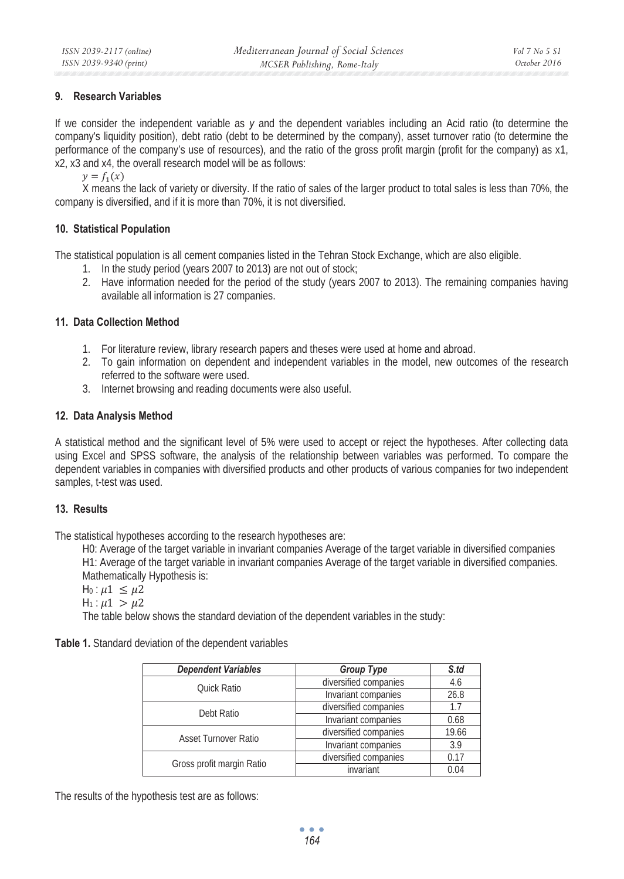## **9. Research Variables**

If we consider the independent variable as *y* and the dependent variables including an Acid ratio (to determine the company's liquidity position), debt ratio (debt to be determined by the company), asset turnover ratio (to determine the performance of the company's use of resources), and the ratio of the gross profit margin (profit for the company) as x1, x2, x3 and x4, the overall research model will be as follows:

 $\nu = f_1(x)$ 

X means the lack of variety or diversity. If the ratio of sales of the larger product to total sales is less than 70%, the company is diversified, and if it is more than 70%, it is not diversified.

## **10. Statistical Population**

The statistical population is all cement companies listed in the Tehran Stock Exchange, which are also eligible.

- 1. In the study period (years 2007 to 2013) are not out of stock;
- 2. Have information needed for the period of the study (years 2007 to 2013). The remaining companies having available all information is 27 companies.

## **11. Data Collection Method**

- 1. For literature review, library research papers and theses were used at home and abroad.
- 2. To gain information on dependent and independent variables in the model, new outcomes of the research referred to the software were used.
- 3. Internet browsing and reading documents were also useful.

## **12. Data Analysis Method**

A statistical method and the significant level of 5% were used to accept or reject the hypotheses. After collecting data using Excel and SPSS software, the analysis of the relationship between variables was performed. To compare the dependent variables in companies with diversified products and other products of various companies for two independent samples, t-test was used.

#### **13. Results**

The statistical hypotheses according to the research hypotheses are:

H0: Average of the target variable in invariant companies Average of the target variable in diversified companies

H1: Average of the target variable in invariant companies Average of the target variable in diversified companies. Mathematically Hypothesis is:

```
H_0: \mu\mathbb{1} \leq \mu\mathbb{2}
```

```
H_1: \mu_1 > \mu_2
```
The table below shows the standard deviation of the dependent variables in the study:

| <b>Dependent Variables</b> | Group Type            | S.td  |
|----------------------------|-----------------------|-------|
| Quick Ratio                | diversified companies | 4.6   |
|                            | Invariant companies   | 26.8  |
| Debt Ratio                 | diversified companies | 17    |
|                            | Invariant companies   | 0.68  |
| Asset Turnover Ratio       | diversified companies | 19.66 |
|                            | Invariant companies   | 3.9   |
|                            | diversified companies | 0.17  |
| Gross profit margin Ratio  | invariant             | 0.04  |

The results of the hypothesis test are as follows:

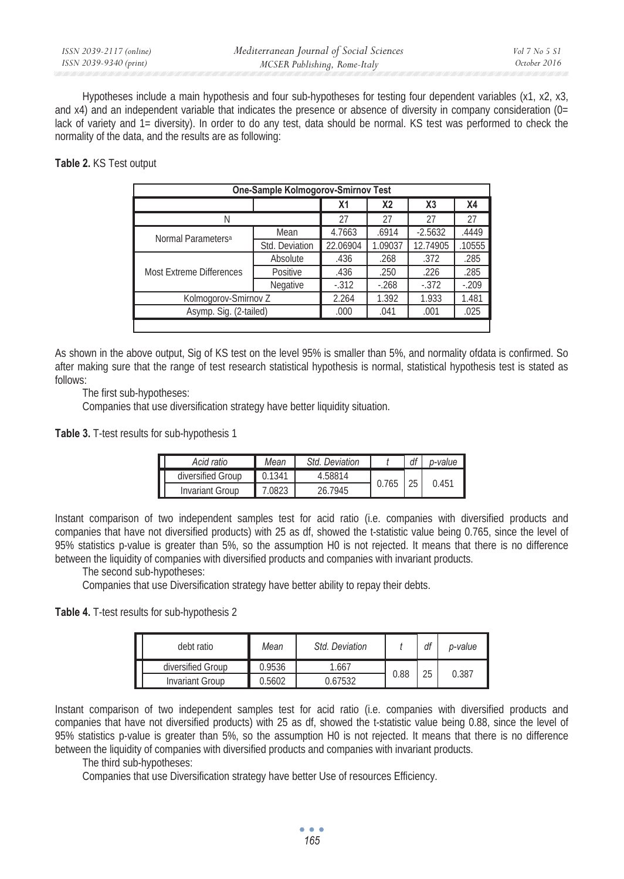| ISSN 2039-2117 (online) | Mediterranean Journal of Social Sciences | Vol 7 No 5 S1 |
|-------------------------|------------------------------------------|---------------|
| ISSN 2039-9340 (print)  | MCSER Publishing, Rome-Italy             | October 2016  |

Hypotheses include a main hypothesis and four sub-hypotheses for testing four dependent variables (x1, x2, x3, and x4) and an independent variable that indicates the presence or absence of diversity in company consideration (0= lack of variety and 1= diversity). In order to do any test, data should be normal. KS test was performed to check the normality of the data, and the results are as following:

**Table 2.** KS Test output

| One-Sample Kolmogorov-Smirnov Test |                |          |           |           |           |  |  |
|------------------------------------|----------------|----------|-----------|-----------|-----------|--|--|
|                                    |                | Х1       | <b>X2</b> | X3        | <b>X4</b> |  |  |
| Ν                                  |                | 27       | 27        | 27        | 27        |  |  |
| Normal Parameters <sup>a</sup>     | Mean           | 4.7663   | .6914     | $-2.5632$ | .4449     |  |  |
|                                    | Std. Deviation | 22.06904 | 1.09037   | 12.74905  | .10555    |  |  |
| <b>Most Extreme Differences</b>    | Absolute       | .436     | .268      | .372      | .285      |  |  |
|                                    | Positive       | .436     | .250      | .226      | .285      |  |  |
|                                    | Negative       | $-312$   | $-268$    | $-372$    | $-209$    |  |  |
| Kolmogorov-Smirnov Z               |                | 2.264    | 1.392     | 1.933     | 1.481     |  |  |
| Asymp. Sig. (2-tailed)             |                | .000     | .041      | .001      | .025      |  |  |
|                                    |                |          |           |           |           |  |  |

As shown in the above output, Sig of KS test on the level 95% is smaller than 5%, and normality ofdata is confirmed. So after making sure that the range of test research statistical hypothesis is normal, statistical hypothesis test is stated as follows:

The first sub-hypotheses:

Companies that use diversification strategy have better liquidity situation.

**Table 3.** T-test results for sub-hypothesis 1

| Г<br>Acid ratio      | Mean   | Std. Deviation |       | df | o-value |
|----------------------|--------|----------------|-------|----|---------|
| diversified Group    | 0.1341 | 4.58814        | 0.765 | 25 | 0.451   |
| I<br>Invariant Group | .0823  | 26 7945        |       |    |         |

Instant comparison of two independent samples test for acid ratio (i.e. companies with diversified products and companies that have not diversified products) with 25 as df, showed the t-statistic value being 0.765, since the level of 95% statistics p-value is greater than 5%, so the assumption H0 is not rejected. It means that there is no difference between the liquidity of companies with diversified products and companies with invariant products.

The second sub-hypotheses:

Companies that use Diversification strategy have better ability to repay their debts.

**Table 4.** T-test results for sub-hypothesis 2

|  | debt ratio        | Mean   | Std. Deviation |      | df | p-value |
|--|-------------------|--------|----------------|------|----|---------|
|  | diversified Group | 0.9536 | 1.667          |      | 25 | 0.387   |
|  | Invariant Group   | 0.5602 | ).67532        | 0.88 |    |         |

Instant comparison of two independent samples test for acid ratio (i.e. companies with diversified products and companies that have not diversified products) with 25 as df, showed the t-statistic value being 0.88, since the level of 95% statistics p-value is greater than 5%, so the assumption H0 is not rejected. It means that there is no difference between the liquidity of companies with diversified products and companies with invariant products.

The third sub-hypotheses:

Companies that use Diversification strategy have better Use of resources Efficiency.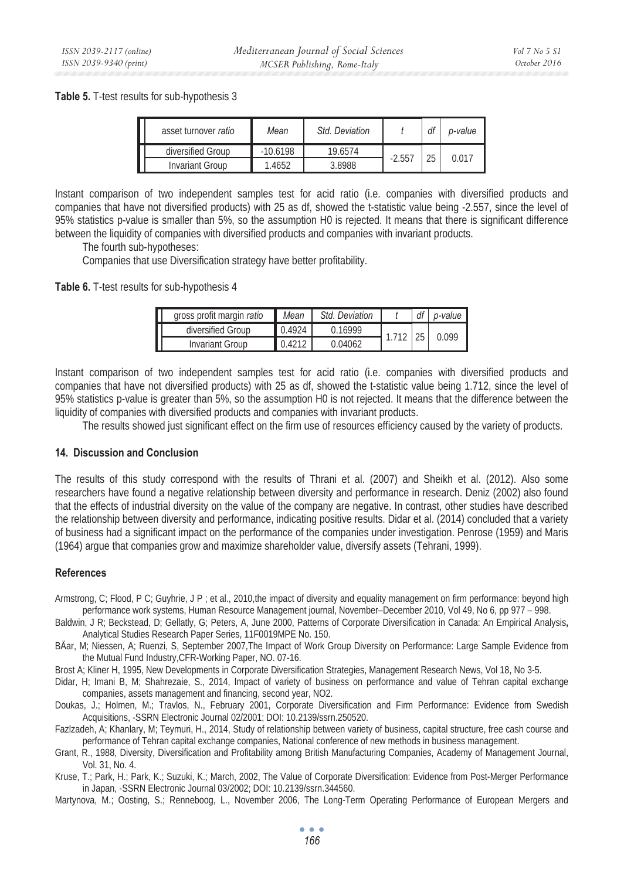**Table 5.** T-test results for sub-hypothesis 3

| asset turnover ratio | Mean       | Std. Deviation |         | df | p-value |
|----------------------|------------|----------------|---------|----|---------|
| diversified Group    | $-10.6198$ | 19.6574        |         | 25 | 0.017   |
| Invariant Group      | .4652      | 3.8988         | $-2.55$ |    |         |

Instant comparison of two independent samples test for acid ratio (i.e. companies with diversified products and companies that have not diversified products) with 25 as df, showed the t-statistic value being -2.557, since the level of 95% statistics p-value is smaller than 5%, so the assumption H0 is rejected. It means that there is significant difference between the liquidity of companies with diversified products and companies with invariant products.

The fourth sub-hypotheses:

Companies that use Diversification strategy have better profitability.

**Table 6.** T-test results for sub-hypothesis 4

| gross profit margin ratio | Mean   | <b>Std Deviation</b> |      |  | p-value |
|---------------------------|--------|----------------------|------|--|---------|
| diversified Group         | 0.4924 | 016999               | 1710 |  | 0.099   |
| Invariant Group           | 0.4212 | 0.04062              |      |  |         |

Instant comparison of two independent samples test for acid ratio (i.e. companies with diversified products and companies that have not diversified products) with 25 as df, showed the t-statistic value being 1.712, since the level of 95% statistics p-value is greater than 5%, so the assumption H0 is not rejected. It means that the difference between the liquidity of companies with diversified products and companies with invariant products.

The results showed just significant effect on the firm use of resources efficiency caused by the variety of products.

#### **14. Discussion and Conclusion**

The results of this study correspond with the results of Thrani et al. (2007) and Sheikh et al. (2012). Also some researchers have found a negative relationship between diversity and performance in research. Deniz (2002) also found that the effects of industrial diversity on the value of the company are negative. In contrast, other studies have described the relationship between diversity and performance, indicating positive results. Didar et al. (2014) concluded that a variety of business had a significant impact on the performance of the companies under investigation. Penrose (1959) and Maris (1964) argue that companies grow and maximize shareholder value, diversify assets (Tehrani, 1999).

#### **References**

Armstrong, C; Flood, P C; Guyhrie, J P; et al., 2010, the impact of diversity and equality management on firm performance: beyond high performance work systems, Human Resource Management journal, November–December 2010, Vol 49, No 6, pp 977 – 998.

Baldwin, J R; Beckstead, D; Gellatly, G; Peters, A, June 2000, Patterns of Corporate Diversification in Canada: An Empirical Analysis**,** Analytical Studies Research Paper Series, 11F0019MPE No. 150.

BÄar, M; Niessen, A; Ruenzi, S, September 2007,The Impact of Work Group Diversity on Performance: Large Sample Evidence from the Mutual Fund Industry,CFR-Working Paper, NO. 07-16.

Brost A; Kliner H, 1995, New Developments in Corporate Diversification Strategies, Management Research News, Vol 18, No 3-5.

Didar, H; Imani B, M; Shahrezaie, S., 2014, Impact of variety of business on performance and value of Tehran capital exchange companies, assets management and financing, second year, NO2.

Doukas, J.; Holmen, M.; Travlos, N., February 2001, Corporate Diversification and Firm Performance: Evidence from Swedish Acquisitions, -SSRN Electronic Journal 02/2001; DOI: 10.2139/ssrn.250520.

Fazlzadeh, A; Khanlary, M; Teymuri, H., 2014, Study of relationship between variety of business, capital structure, free cash course and performance of Tehran capital exchange companies, National conference of new methods in business management.

Grant, R., 1988, Diversity, Diversification and Profitability among British Manufacturing Companies, Academy of Management Journal, Vol. 31, No. 4.

Kruse, T.; Park, H.; Park, K.; Suzuki, K.; March, 2002, The Value of Corporate Diversification: Evidence from Post-Merger Performance in Japan, -SSRN Electronic Journal 03/2002; DOI: 10.2139/ssrn.344560.

Martynova, M.; Oosting, S.; Renneboog, L., November 2006, The Long-Term Operating Performance of European Mergers and